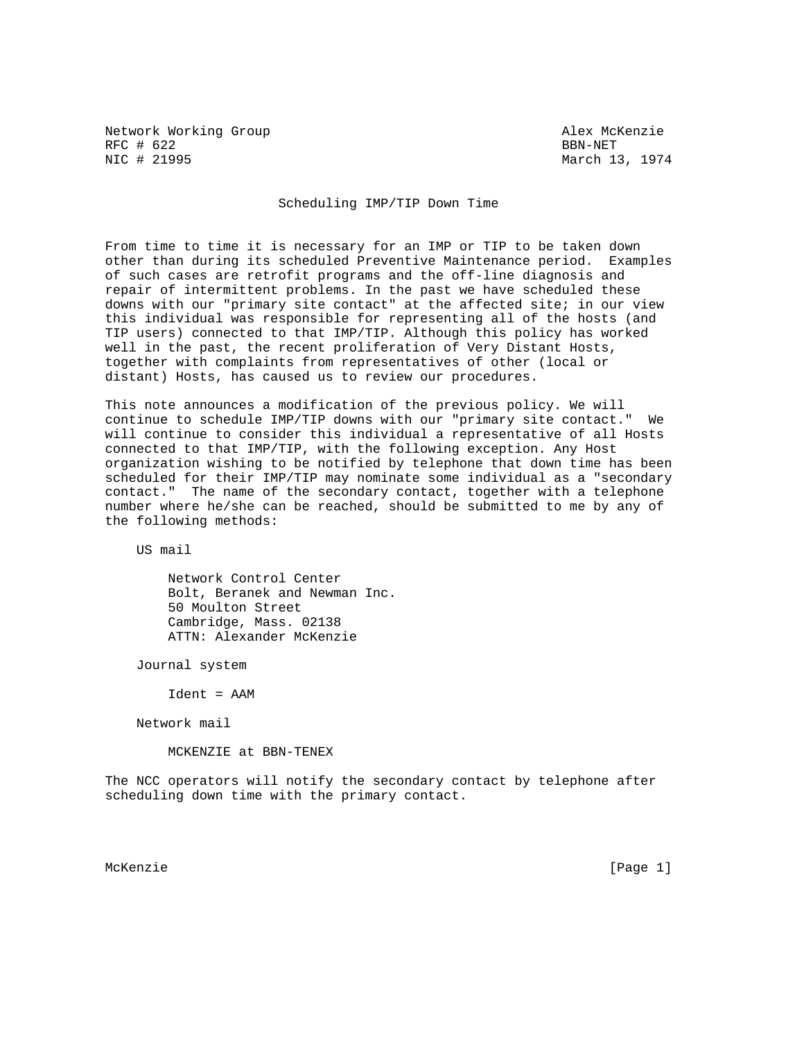Network Working Group and Alex McKenzie RFC # 622 BBN-NET<br>NIC # 21995 BBN-NET

March 13, 1974

## Scheduling IMP/TIP Down Time

From time to time it is necessary for an IMP or TIP to be taken down other than during its scheduled Preventive Maintenance period. Examples of such cases are retrofit programs and the off-line diagnosis and repair of intermittent problems. In the past we have scheduled these downs with our "primary site contact" at the affected site; in our view this individual was responsible for representing all of the hosts (and TIP users) connected to that IMP/TIP. Although this policy has worked well in the past, the recent proliferation of Very Distant Hosts, together with complaints from representatives of other (local or distant) Hosts, has caused us to review our procedures.

This note announces a modification of the previous policy. We will continue to schedule IMP/TIP downs with our "primary site contact." We will continue to consider this individual a representative of all Hosts connected to that IMP/TIP, with the following exception. Any Host organization wishing to be notified by telephone that down time has been scheduled for their IMP/TIP may nominate some individual as a "secondary contact." The name of the secondary contact, together with a telephone number where he/she can be reached, should be submitted to me by any of the following methods:

US mail

 Network Control Center Bolt, Beranek and Newman Inc. 50 Moulton Street Cambridge, Mass. 02138 ATTN: Alexander McKenzie

Journal system

Ident = AAM

Network mail

MCKENZIE at BBN-TENEX

The NCC operators will notify the secondary contact by telephone after scheduling down time with the primary contact.

McKenzie [Page 1]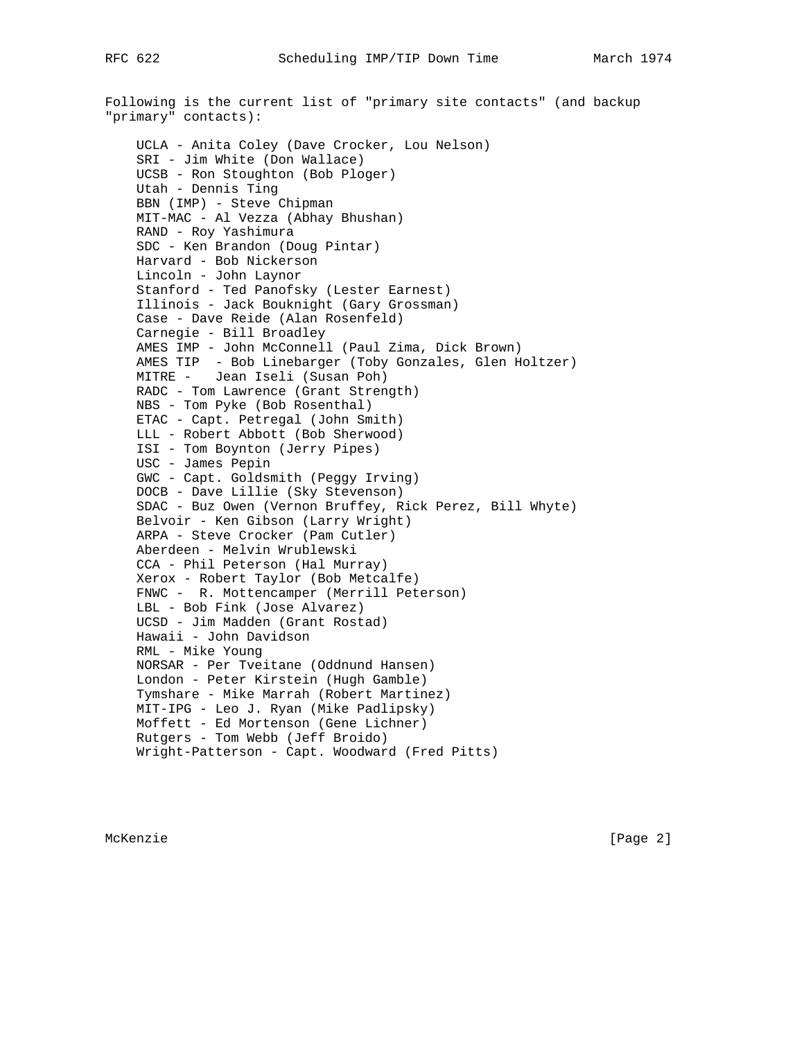Following is the current list of "primary site contacts" (and backup "primary" contacts): UCLA - Anita Coley (Dave Crocker, Lou Nelson) SRI - Jim White (Don Wallace) UCSB - Ron Stoughton (Bob Ploger) Utah - Dennis Ting BBN (IMP) - Steve Chipman MIT-MAC - Al Vezza (Abhay Bhushan) RAND - Roy Yashimura SDC - Ken Brandon (Doug Pintar) Harvard - Bob Nickerson Lincoln - John Laynor Stanford - Ted Panofsky (Lester Earnest) Illinois - Jack Bouknight (Gary Grossman) Case - Dave Reide (Alan Rosenfeld) Carnegie - Bill Broadley AMES IMP - John McConnell (Paul Zima, Dick Brown) AMES TIP - Bob Linebarger (Toby Gonzales, Glen Holtzer) MITRE - Jean Iseli (Susan Poh) RADC - Tom Lawrence (Grant Strength) NBS - Tom Pyke (Bob Rosenthal) ETAC - Capt. Petregal (John Smith) LLL - Robert Abbott (Bob Sherwood) ISI - Tom Boynton (Jerry Pipes) USC - James Pepin GWC - Capt. Goldsmith (Peggy Irving) DOCB - Dave Lillie (Sky Stevenson) SDAC - Buz Owen (Vernon Bruffey, Rick Perez, Bill Whyte) Belvoir - Ken Gibson (Larry Wright) ARPA - Steve Crocker (Pam Cutler) Aberdeen - Melvin Wrublewski CCA - Phil Peterson (Hal Murray) Xerox - Robert Taylor (Bob Metcalfe) FNWC - R. Mottencamper (Merrill Peterson) LBL - Bob Fink (Jose Alvarez) UCSD - Jim Madden (Grant Rostad) Hawaii - John Davidson RML - Mike Young NORSAR - Per Tveitane (Oddnund Hansen) London - Peter Kirstein (Hugh Gamble) Tymshare - Mike Marrah (Robert Martinez) MIT-IPG - Leo J. Ryan (Mike Padlipsky) Moffett - Ed Mortenson (Gene Lichner) Rutgers - Tom Webb (Jeff Broido) Wright-Patterson - Capt. Woodward (Fred Pitts)

McKenzie [Page 2]